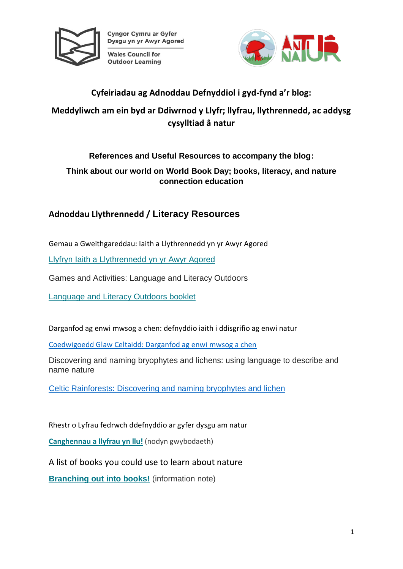

Cyngor Cymru ar Gyfer Dysgu yn yr Awyr Agored

**Wales Council for Outdoor Learning** 



### **Cyfeiriadau ag Adnoddau Defnyddiol i gyd-fynd a'r blog:**

# **Meddyliwch am ein byd ar Ddiwrnod y Llyfr; llyfrau, llythrennedd, ac addysg cysylltiad â natur**

### **References and Useful Resources to accompany the blog:**

**Think about our world on World Book Day; books, literacy, and nature connection education**

# **Adnoddau Llythrennedd / Literacy Resources**

Gemau a Gweithgareddau: Iaith a Llythrennedd yn yr Awyr Agored

Llyfryn Iaith a [Llythrennedd](https://cdn.cyfoethnaturiol.cymru/media/690801/gweithgareddau-a-gemau-iaith-a-llythrennedd-yn-yr-awyr-agored.pdf) yn yr Awyr Agored

Games and Activities: Language and Literacy Outdoors

[Language](https://cdn.cyfoethnaturiol.cymru/media/690800/activities-and-games-language-and-literacy-outdoors.pdf) and Literacy Outdoors booklet

Darganfod ag enwi mwsog a chen: defnyddio iaith i ddisgrifio ag enwi natur

[Coedwigoedd Glaw Celtaidd: Darganfod ag enwi mwsog a chen](https://celticrainforests.wales/resources/darganfod-ag-enwi-mwsog-a-chen)

Discovering and naming bryophytes and lichens: using language to describe and name nature

[Celtic Rainforests: Discovering and naming bryophytes and lichen](https://celticrainforests.wales/resources/discovering-and-naming-bryophytes-and-lichens)

Rhestr o Lyfrau fedrwch ddefnyddio ar gyfer dysgu am natur

**[Canghennau](https://cdn.cyfoethnaturiol.cymru/media/693226/nodyn-gwybodaeth-canghennau-a-llyfrau-yn-llu.pdf) a llyfrau yn llu!** (nodyn gwybodaeth)

A list of books you could use to learn about nature

**[Branching](https://cdn.cyfoethnaturiol.cymru/media/693225/information-note-branching-into-books.pdf) out into books!** (information note)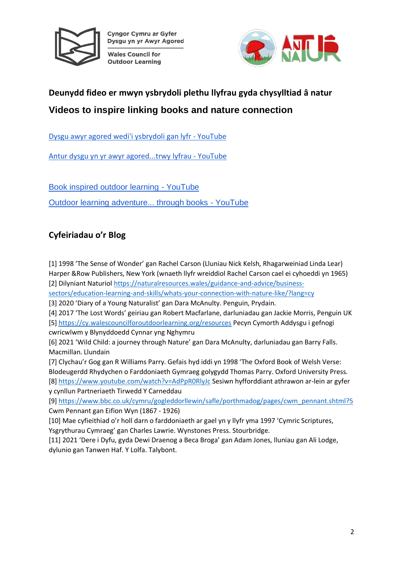

Cyngor Cymru ar Gyfer Dysgu yn yr Awyr Agored

**Wales Council for Outdoor Learning** 



# **Deunydd fideo er mwyn ysbrydoli plethu llyfrau gyda chysylltiad â natur Videos to inspire linking books and nature connection**

[Dysgu awyr agored wedi'i ysbrydoli gan lyfr -](https://www.youtube.com/watch?v=583dclshc4I&list=PLQTpLdkWg9_Kt-MU_VgbdMAMrknJH8xbW) YouTube

[Antur dysgu yn yr awyr agored...trwy lyfrau -](https://www.youtube.com/watch?v=CtScMF7UhxE&list=PLQTpLdkWg9_Kt-MU_VgbdMAMrknJH8xbW&index=5) YouTube

[Book inspired outdoor learning -](https://www.youtube.com/watch?v=cURVC0DZyOU&list=PLQTpLdkWg9_LZsXU3Ehr6QPE3Ew97iRPw) YouTube [Outdoor learning adventure... through books -](https://www.youtube.com/watch?v=YKDNkrkNtJk&list=PLQTpLdkWg9_LZsXU3Ehr6QPE3Ew97iRPw&index=5) YouTube

# **Cyfeiriadau o'r Blog**

[1] 1998 'The Sense of Wonder' gan Rachel Carson (Lluniau Nick Kelsh, Rhagarweiniad Linda Lear) Harper &Row Publishers, New York (wnaeth llyfr wreiddiol Rachel Carson cael ei cyhoeddi yn 1965) [2] Dilyniant Naturiol [https://naturalresources.wales/guidance-and-advice/business-](https://naturalresources.wales/guidance-and-advice/business-sectors/education-learning-and-skills/whats-your-connection-with-nature-like/?lang=cy)

[sectors/education-learning-and-skills/whats-your-connection-with-nature-like/?lang=cy](https://naturalresources.wales/guidance-and-advice/business-sectors/education-learning-and-skills/whats-your-connection-with-nature-like/?lang=cy)

[3] 2020 'Diary of a Young Naturalist' gan Dara McAnulty. Penguin, Prydain.

[4] 2017 'The Lost Words' geiriau gan Robert Macfarlane, darluniadau gan Jackie Morris, Penguin UK [5] <https://cy.walescouncilforoutdoorlearning.org/resources> Pecyn Cymorth Addysgu i gefnogi cwricwlwm y Blynyddoedd Cynnar yng Nghymru

[6] 2021 'Wild Child: a journey through Nature' gan Dara McAnulty, darluniadau gan Barry Falls. Macmillan. Llundain

[7] Clychau'r Gog gan R Williams Parry. Gefais hyd iddi yn 1998 'The Oxford Book of Welsh Verse: Blodeugerdd Rhydychen o Farddoniaeth Gymraeg golygydd Thomas Parry. Oxford University Press. [8] <https://www.youtube.com/watch?v=AdPpR0RlyJc> Sesiwn hyfforddiant athrawon ar-lein ar gyfer y cynllun Partneriaeth Tirwedd Y Carneddau

[9] [https://www.bbc.co.uk/cymru/gogleddorllewin/safle/porthmadog/pages/cwm\\_pennant.shtml?5](https://www.bbc.co.uk/cymru/gogleddorllewin/safle/porthmadog/pages/cwm_pennant.shtml?5) Cwm Pennant gan Eifion Wyn (1867 - 1926)

[10] Mae cyfieithiad o'r holl darn o farddoniaeth ar gael yn y llyfr yma 1997 'Cymric Scriptures, Ysgrythurau Cymraeg' gan Charles Lawrie. Wynstones Press. Stourbridge.

[11] 2021 'Dere i Dyfu, gyda Dewi Draenog a Beca Broga' gan Adam Jones, lluniau gan Ali Lodge, dylunio gan Tanwen Haf. Y Lolfa. Talybont.